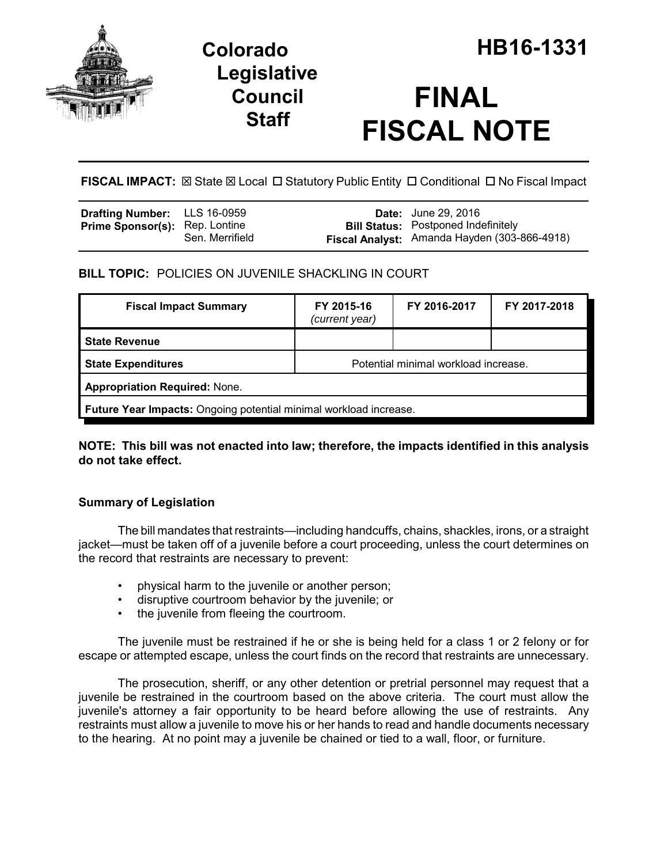

## **Legislative Council Staff**

# **FINAL FISCAL NOTE**

**FISCAL IMPACT:** ⊠ State ⊠ Local □ Statutory Public Entity □ Conditional □ No Fiscal Impact

| <b>Drafting Number:</b> LLS 16-0959   |                 | <b>Date:</b> June 29, 2016                   |
|---------------------------------------|-----------------|----------------------------------------------|
| <b>Prime Sponsor(s):</b> Rep. Lontine |                 | <b>Bill Status:</b> Postponed Indefinitely   |
|                                       | Sen. Merrifield | Fiscal Analyst: Amanda Hayden (303-866-4918) |

**BILL TOPIC:** POLICIES ON JUVENILE SHACKLING IN COURT

| <b>Fiscal Impact Summary</b>                                      | FY 2015-16<br>(current year)         | FY 2016-2017 | FY 2017-2018 |  |  |  |
|-------------------------------------------------------------------|--------------------------------------|--------------|--------------|--|--|--|
| <b>State Revenue</b>                                              |                                      |              |              |  |  |  |
| <b>State Expenditures</b>                                         | Potential minimal workload increase. |              |              |  |  |  |
| <b>Appropriation Required: None.</b>                              |                                      |              |              |  |  |  |
| Future Year Impacts: Ongoing potential minimal workload increase. |                                      |              |              |  |  |  |

**NOTE: This bill was not enacted into law; therefore, the impacts identified in this analysis do not take effect.**

### **Summary of Legislation**

The bill mandates that restraints—including handcuffs, chains, shackles, irons, or a straight jacket—must be taken off of a juvenile before a court proceeding, unless the court determines on the record that restraints are necessary to prevent:

- physical harm to the juvenile or another person;
- disruptive courtroom behavior by the juvenile; or
- the juvenile from fleeing the courtroom.

The juvenile must be restrained if he or she is being held for a class 1 or 2 felony or for escape or attempted escape, unless the court finds on the record that restraints are unnecessary.

The prosecution, sheriff, or any other detention or pretrial personnel may request that a juvenile be restrained in the courtroom based on the above criteria. The court must allow the juvenile's attorney a fair opportunity to be heard before allowing the use of restraints. Any restraints must allow a juvenile to move his or her hands to read and handle documents necessary to the hearing. At no point may a juvenile be chained or tied to a wall, floor, or furniture.